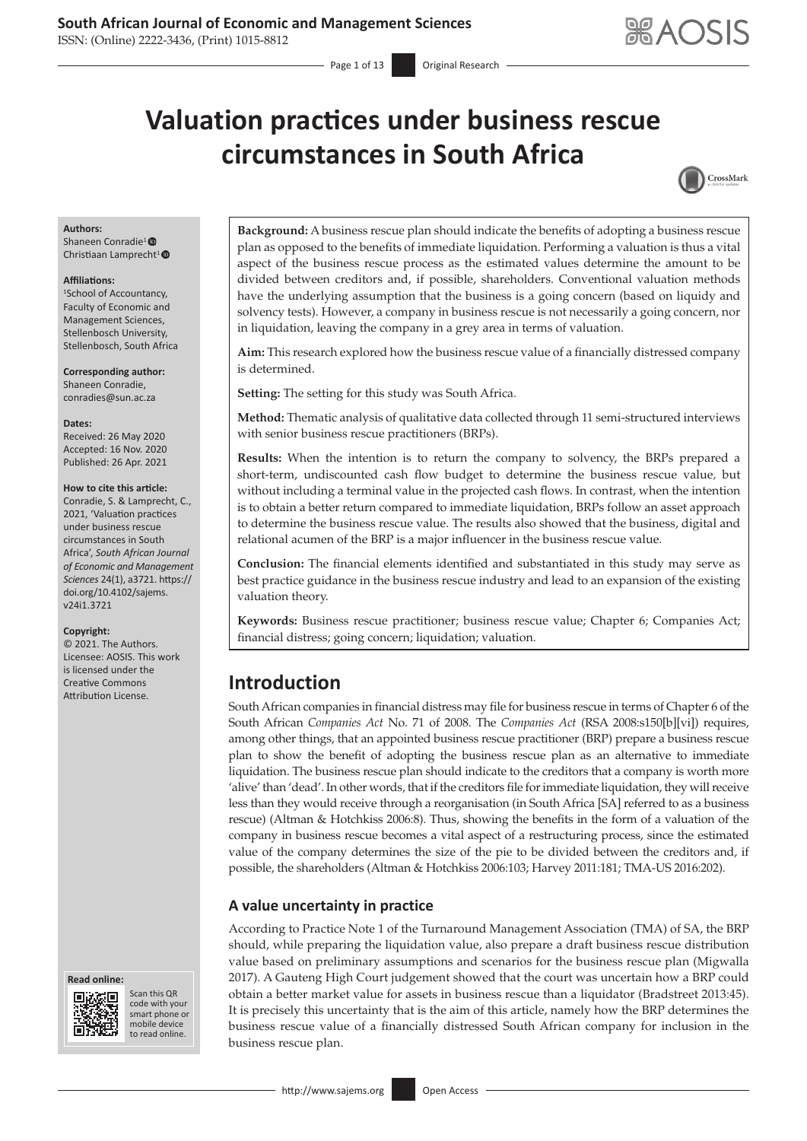ISSN: (Online) 2222-3436, (Print) 1015-8812

# **Valuation practices under business rescue circumstances in South Africa**



#### **Authors:**

Shaneen Conradie<sup>1</sup> Christiaan Lamprecht<sup>1</sup>

#### **Affiliations:**

1 School of Accountancy, Faculty of Economic and Management Sciences, Stellenbosch University, Stellenbosch, South Africa

**Corresponding author:** Shaneen Conradie, [conradies@sun.ac.za](mailto:conradies@sun.ac.za)

**Dates:**

Received: 26 May 2020 Accepted: 16 Nov. 2020 Published: 26 Apr. 2021

#### **How to cite this article:**

Conradie, S. & Lamprecht, C., 2021, 'Valuation practices under business rescue circumstances in South Africa', *South African Journal of Economic and Management Sciences* 24(1), a3721. [https://](https://doi.org/10.4102/sajems.v24i1.3721) [doi.org/10.4102/sajems.](https://doi.org/10.4102/sajems.v24i1.3721) [v24i1.3721](https://doi.org/10.4102/sajems.v24i1.3721)

#### **Copyright:**

© 2021. The Authors. Licensee: AOSIS. This work is licensed under the Creative Commons Attribution License.





Scan this QR code with your Scan this QR<br>code with your<br>smart phone or<br>mobile device mobile device to read online. to read online.

**Background:** A business rescue plan should indicate the benefits of adopting a business rescue plan as opposed to the benefits of immediate liquidation. Performing a valuation is thus a vital aspect of the business rescue process as the estimated values determine the amount to be divided between creditors and, if possible, shareholders. Conventional valuation methods have the underlying assumption that the business is a going concern (based on liquidy and solvency tests). However, a company in business rescue is not necessarily a going concern, nor in liquidation, leaving the company in a grey area in terms of valuation.

**Aim:** This research explored how the business rescue value of a financially distressed company is determined.

**Setting:** The setting for this study was South Africa.

**Method:** Thematic analysis of qualitative data collected through 11 semi-structured interviews with senior business rescue practitioners (BRPs).

**Results:** When the intention is to return the company to solvency, the BRPs prepared a short-term, undiscounted cash flow budget to determine the business rescue value*,* but without including a terminal value in the projected cash flows. In contrast, when the intention is to obtain a better return compared to immediate liquidation, BRPs follow an asset approach to determine the business rescue value. The results also showed that the business, digital and relational acumen of the BRP is a major influencer in the business rescue value.

**Conclusion:** The financial elements identified and substantiated in this study may serve as best practice guidance in the business rescue industry and lead to an expansion of the existing valuation theory.

**Keywords:** Business rescue practitioner; business rescue value; Chapter 6; Companies Act; financial distress; going concern; liquidation; valuation.

# **Introduction**

South African companies in financial distress may file for business rescue in terms of Chapter 6 of the South African *Companies Act* No. 71 of 2008. The *Companies Act* (RSA 2008:s150[b][vi]) requires, among other things, that an appointed business rescue practitioner (BRP) prepare a business rescue plan to show the benefit of adopting the business rescue plan as an alternative to immediate liquidation. The business rescue plan should indicate to the creditors that a company is worth more 'alive' than 'dead'. In other words, that if the creditors file for immediate liquidation, they will receive less than they would receive through a reorganisation (in South Africa [SA] referred to as a business rescue) (Altman & Hotchkiss 2006:8). Thus, showing the benefits in the form of a valuation of the company in business rescue becomes a vital aspect of a restructuring process, since the estimated value of the company determines the size of the pie to be divided between the creditors and, if possible, the shareholders (Altman & Hotchkiss 2006:103; Harvey 2011:181; TMA-US 2016:202).

## **A value uncertainty in practice**

According to Practice Note 1 of the Turnaround Management Association (TMA) of SA, the BRP should, while preparing the liquidation value, also prepare a draft business rescue distribution value based on preliminary assumptions and scenarios for the business rescue plan (Migwalla 2017). A Gauteng High Court judgement showed that the court was uncertain how a BRP could obtain a better market value for assets in business rescue than a liquidator (Bradstreet 2013:45). It is precisely this uncertainty that is the aim of this article, namely how the BRP determines the business rescue value of a financially distressed South African company for inclusion in the business rescue plan.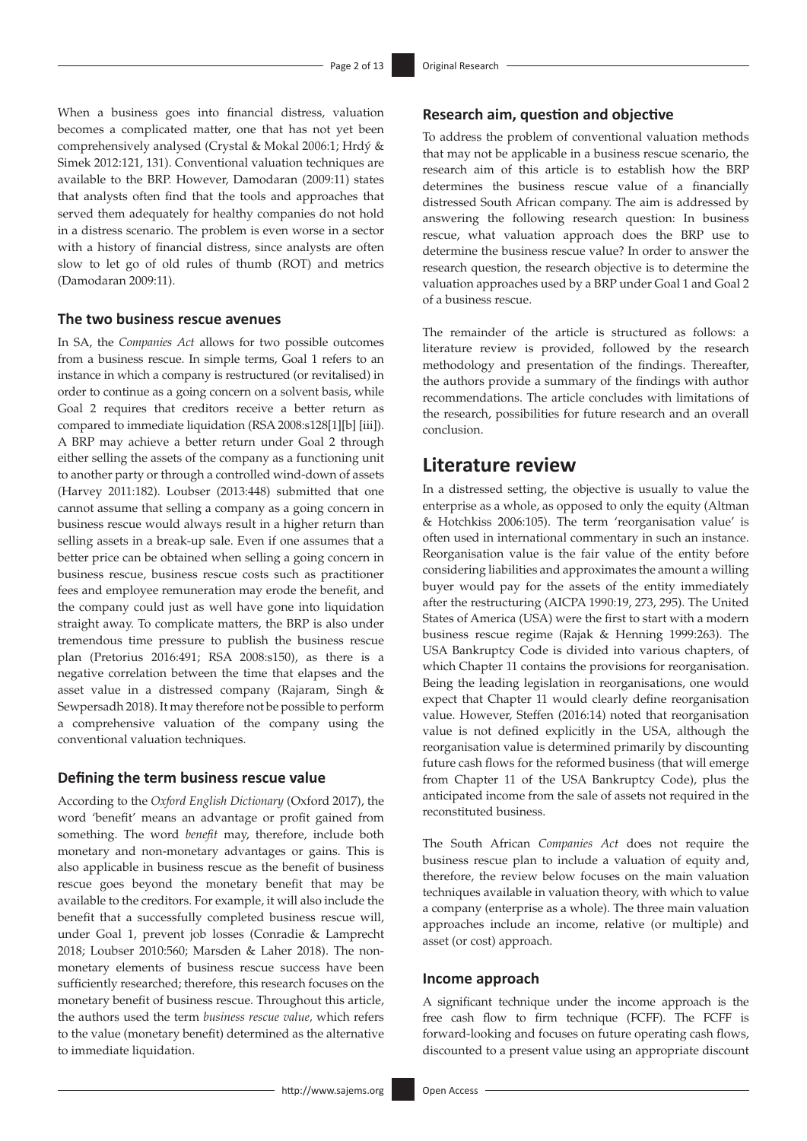When a business goes into financial distress, valuation becomes a complicated matter, one that has not yet been comprehensively analysed (Crystal & Mokal 2006:1; Hrdý & Simek 2012:121, 131). Conventional valuation techniques are available to the BRP. However, Damodaran (2009:11) states that analysts often find that the tools and approaches that served them adequately for healthy companies do not hold in a distress scenario. The problem is even worse in a sector with a history of financial distress, since analysts are often slow to let go of old rules of thumb (ROT) and metrics (Damodaran 2009:11).

### **The two business rescue avenues**

In SA, the *Companies Act* allows for two possible outcomes from a business rescue. In simple terms, Goal 1 refers to an instance in which a company is restructured (or revitalised) in order to continue as a going concern on a solvent basis, while Goal 2 requires that creditors receive a better return as compared to immediate liquidation (RSA 2008:s128[1][b] [iii]). A BRP may achieve a better return under Goal 2 through either selling the assets of the company as a functioning unit to another party or through a controlled wind-down of assets (Harvey 2011:182). Loubser (2013:448) submitted that one cannot assume that selling a company as a going concern in business rescue would always result in a higher return than selling assets in a break-up sale. Even if one assumes that a better price can be obtained when selling a going concern in business rescue, business rescue costs such as practitioner fees and employee remuneration may erode the benefit, and the company could just as well have gone into liquidation straight away. To complicate matters, the BRP is also under tremendous time pressure to publish the business rescue plan (Pretorius 2016:491; RSA 2008:s150), as there is a negative correlation between the time that elapses and the asset value in a distressed company (Rajaram, Singh & Sewpersadh 2018). It may therefore not be possible to perform a comprehensive valuation of the company using the conventional valuation techniques.

### **Defining the term business rescue value**

According to the *Oxford English Dictionary* (Oxford 2017), the word 'benefit' means an advantage or profit gained from something. The word *benefit* may, therefore, include both monetary and non-monetary advantages or gains. This is also applicable in business rescue as the benefit of business rescue goes beyond the monetary benefit that may be available to the creditors. For example, it will also include the benefit that a successfully completed business rescue will, under Goal 1, prevent job losses (Conradie & Lamprecht 2018; Loubser 2010:560; Marsden & Laher 2018). The nonmonetary elements of business rescue success have been sufficiently researched; therefore, this research focuses on the monetary benefit of business rescue. Throughout this article, the authors used the term *business rescue value,* which refers to the value (monetary benefit) determined as the alternative to immediate liquidation.

### **Research aim, question and objective**

To address the problem of conventional valuation methods that may not be applicable in a business rescue scenario, the research aim of this article is to establish how the BRP determines the business rescue value of a financially distressed South African company. The aim is addressed by answering the following research question: In business rescue, what valuation approach does the BRP use to determine the business rescue value? In order to answer the research question, the research objective is to determine the valuation approaches used by a BRP under Goal 1 and Goal 2 of a business rescue.

The remainder of the article is structured as follows: a literature review is provided, followed by the research methodology and presentation of the findings. Thereafter, the authors provide a summary of the findings with author recommendations. The article concludes with limitations of the research, possibilities for future research and an overall conclusion.

# **Literature review**

In a distressed setting, the objective is usually to value the enterprise as a whole, as opposed to only the equity (Altman & Hotchkiss 2006:105). The term 'reorganisation value' is often used in international commentary in such an instance. Reorganisation value is the fair value of the entity before considering liabilities and approximates the amount a willing buyer would pay for the assets of the entity immediately after the restructuring (AICPA 1990:19, 273, 295). The United States of America (USA) were the first to start with a modern business rescue regime (Rajak & Henning 1999:263). The USA Bankruptcy Code is divided into various chapters, of which Chapter 11 contains the provisions for reorganisation. Being the leading legislation in reorganisations, one would expect that Chapter 11 would clearly define reorganisation value. However, Steffen (2016:14) noted that reorganisation value is not defined explicitly in the USA, although the reorganisation value is determined primarily by discounting future cash flows for the reformed business (that will emerge from Chapter 11 of the USA Bankruptcy Code), plus the anticipated income from the sale of assets not required in the reconstituted business.

The South African *Companies Act* does not require the business rescue plan to include a valuation of equity and, therefore, the review below focuses on the main valuation techniques available in valuation theory, with which to value a company (enterprise as a whole). The three main valuation approaches include an income, relative (or multiple) and asset (or cost) approach.

#### **Income approach**

A significant technique under the income approach is the free cash flow to firm technique (FCFF). The FCFF is forward-looking and focuses on future operating cash flows, discounted to a present value using an appropriate discount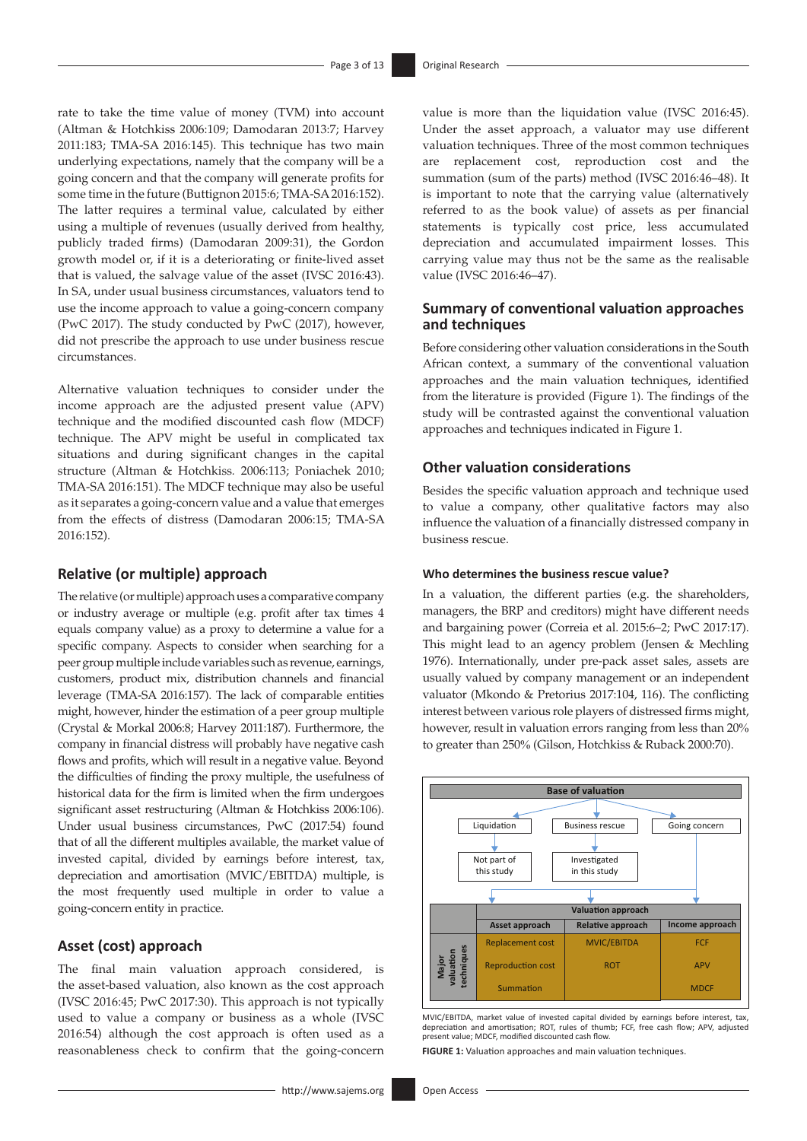rate to take the time value of money (TVM) into account (Altman & Hotchkiss 2006:109; Damodaran 2013:7; Harvey 2011:183; TMA-SA 2016:145). This technique has two main underlying expectations, namely that the company will be a going concern and that the company will generate profits for some time in the future (Buttignon 2015:6; TMA-SA 2016:152). The latter requires a terminal value, calculated by either using a multiple of revenues (usually derived from healthy, publicly traded firms) (Damodaran 2009:31), the Gordon growth model or, if it is a deteriorating or finite-lived asset that is valued, the salvage value of the asset (IVSC 2016:43). In SA, under usual business circumstances, valuators tend to use the income approach to value a going-concern company (PwC 2017). The study conducted by PwC (2017), however, did not prescribe the approach to use under business rescue circumstances.

Alternative valuation techniques to consider under the income approach are the adjusted present value (APV) technique and the modified discounted cash flow (MDCF) technique. The APV might be useful in complicated tax situations and during significant changes in the capital structure (Altman & Hotchkiss*.* 2006:113; Poniachek 2010; TMA-SA 2016:151). The MDCF technique may also be useful as it separates a going-concern value and a value that emerges from the effects of distress (Damodaran 2006:15; TMA-SA 2016:152).

### **Relative (or multiple) approach**

The relative (or multiple) approach uses a comparative company or industry average or multiple (e.g. profit after tax times 4 equals company value) as a proxy to determine a value for a specific company. Aspects to consider when searching for a peer group multiple include variables such as revenue, earnings, customers, product mix, distribution channels and financial leverage (TMA-SA 2016:157). The lack of comparable entities might, however, hinder the estimation of a peer group multiple (Crystal & Morkal 2006:8; Harvey 2011:187). Furthermore, the company in financial distress will probably have negative cash flows and profits, which will result in a negative value. Beyond the difficulties of finding the proxy multiple, the usefulness of historical data for the firm is limited when the firm undergoes significant asset restructuring (Altman & Hotchkiss 2006:106). Under usual business circumstances, PwC (2017:54) found that of all the different multiples available, the market value of invested capital, divided by earnings before interest, tax, depreciation and amortisation (MVIC/EBITDA) multiple, is the most frequently used multiple in order to value a going-concern entity in practice.

### **Asset (cost) approach**

The final main valuation approach considered, is the asset-based valuation, also known as the cost approach (IVSC 2016:45; PwC 2017:30). This approach is not typically used to value a company or business as a whole (IVSC 2016:54) although the cost approach is often used as a reasonableness check to confirm that the going-concern

value is more than the liquidation value (IVSC 2016:45). Under the asset approach, a valuator may use different valuation techniques. Three of the most common techniques are replacement cost, reproduction cost and the summation (sum of the parts) method (IVSC 2016:46–48). It is important to note that the carrying value (alternatively referred to as the book value) of assets as per financial statements is typically cost price, less accumulated depreciation and accumulated impairment losses. This carrying value may thus not be the same as the realisable value (IVSC 2016:46–47).

### **Summary of conventional valuation approaches and techniques**

Before considering other valuation considerations in the South African context, a summary of the conventional valuation approaches and the main valuation techniques, identified from the literature is provided (Figure 1). The findings of the study will be contrasted against the conventional valuation approaches and techniques indicated in Figure 1.

### **Other valuation considerations**

Besides the specific valuation approach and technique used to value a company, other qualitative factors may also influence the valuation of a financially distressed company in business rescue.

### **Who determines the business rescue value?**

In a valuation, the different parties (e.g. the shareholders, managers, the BRP and creditors) might have different needs and bargaining power (Correia et al. 2015:6–2; PwC 2017:17). This might lead to an agency problem (Jensen & Mechling 1976). Internationally, under pre-pack asset sales, assets are usually valued by company management or an independent valuator (Mkondo & Pretorius 2017:104, 116). The conflicting interest between various role players of distressed firms might, however, result in valuation errors ranging from less than 20% to greater than 250% (Gilson, Hotchkiss & Ruback 2000:70).



MVIC/EBITDA, market value of invested capital divided by earnings before interest, tax, depreciation and amortisation; ROT, rules of thumb; FCF, free cash flow; APV, adjusted present value; MDCF, modified discounted cash flow.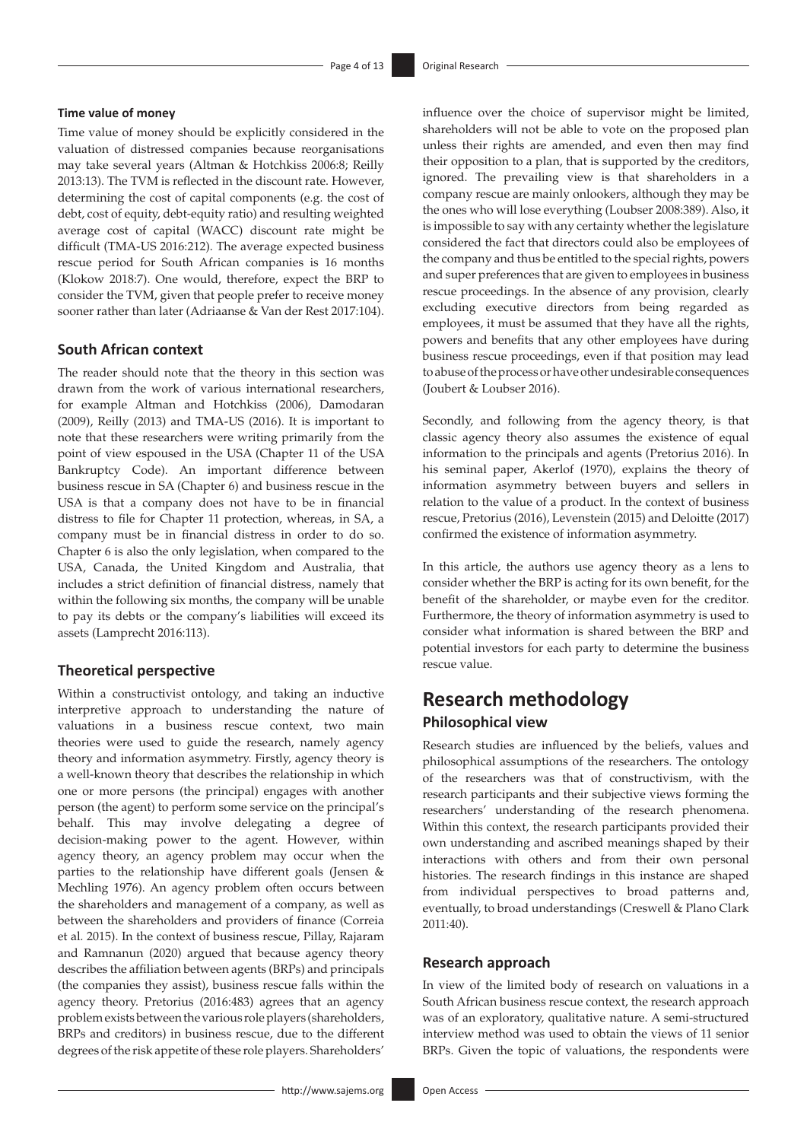### **Time value of money**

Time value of money should be explicitly considered in the valuation of distressed companies because reorganisations may take several years (Altman & Hotchkiss 2006:8; Reilly 2013:13). The TVM is reflected in the discount rate. However, determining the cost of capital components (e.g. the cost of debt, cost of equity, debt-equity ratio) and resulting weighted average cost of capital (WACC) discount rate might be difficult (TMA-US 2016:212). The average expected business rescue period for South African companies is 16 months (Klokow 2018:7). One would, therefore, expect the BRP to consider the TVM, given that people prefer to receive money sooner rather than later (Adriaanse & Van der Rest 2017:104).

### **South African context**

The reader should note that the theory in this section was drawn from the work of various international researchers, for example Altman and Hotchkiss (2006), Damodaran (2009), Reilly (2013) and TMA-US (2016). It is important to note that these researchers were writing primarily from the point of view espoused in the USA (Chapter 11 of the USA Bankruptcy Code). An important difference between business rescue in SA (Chapter 6) and business rescue in the USA is that a company does not have to be in financial distress to file for Chapter 11 protection, whereas, in SA, a company must be in financial distress in order to do so. Chapter 6 is also the only legislation, when compared to the USA, Canada, the United Kingdom and Australia, that includes a strict definition of financial distress, namely that within the following six months, the company will be unable to pay its debts or the company's liabilities will exceed its assets (Lamprecht 2016:113).

### **Theoretical perspective**

Within a constructivist ontology, and taking an inductive interpretive approach to understanding the nature of valuations in a business rescue context, two main theories were used to guide the research, namely agency theory and information asymmetry. Firstly, agency theory is a well-known theory that describes the relationship in which one or more persons (the principal) engages with another person (the agent) to perform some service on the principal's behalf. This may involve delegating a degree of decision-making power to the agent. However, within agency theory, an agency problem may occur when the parties to the relationship have different goals (Jensen & Mechling 1976). An agency problem often occurs between the shareholders and management of a company, as well as between the shareholders and providers of finance (Correia et al*.* 2015). In the context of business rescue, Pillay, Rajaram and Ramnanun (2020) argued that because agency theory describes the affiliation between agents (BRPs) and principals (the companies they assist), business rescue falls within the agency theory. Pretorius (2016:483) agrees that an agency problem exists between the various role players (shareholders, BRPs and creditors) in business rescue, due to the different degrees of the risk appetite of these role players. Shareholders'

influence over the choice of supervisor might be limited, shareholders will not be able to vote on the proposed plan unless their rights are amended, and even then may find their opposition to a plan, that is supported by the creditors, ignored. The prevailing view is that shareholders in a company rescue are mainly onlookers, although they may be the ones who will lose everything (Loubser 2008:389). Also, it is impossible to say with any certainty whether the legislature considered the fact that directors could also be employees of the company and thus be entitled to the special rights, powers and super preferences that are given to employees in business rescue proceedings. In the absence of any provision, clearly excluding executive directors from being regarded as employees, it must be assumed that they have all the rights, powers and benefits that any other employees have during business rescue proceedings, even if that position may lead to abuse of the process or have other undesirable consequences (Joubert & Loubser 2016).

Secondly, and following from the agency theory, is that classic agency theory also assumes the existence of equal information to the principals and agents (Pretorius 2016). In his seminal paper, Akerlof (1970), explains the theory of information asymmetry between buyers and sellers in relation to the value of a product. In the context of business rescue, Pretorius (2016), Levenstein (2015) and Deloitte (2017) confirmed the existence of information asymmetry.

In this article, the authors use agency theory as a lens to consider whether the BRP is acting for its own benefit, for the benefit of the shareholder, or maybe even for the creditor. Furthermore, the theory of information asymmetry is used to consider what information is shared between the BRP and potential investors for each party to determine the business rescue value.

# **Research methodology Philosophical view**

Research studies are influenced by the beliefs, values and philosophical assumptions of the researchers. The ontology of the researchers was that of constructivism, with the research participants and their subjective views forming the researchers' understanding of the research phenomena. Within this context, the research participants provided their own understanding and ascribed meanings shaped by their interactions with others and from their own personal histories. The research findings in this instance are shaped from individual perspectives to broad patterns and, eventually, to broad understandings (Creswell & Plano Clark 2011:40).

### **Research approach**

In view of the limited body of research on valuations in a South African business rescue context, the research approach was of an exploratory, qualitative nature. A semi-structured interview method was used to obtain the views of 11 senior BRPs. Given the topic of valuations, the respondents were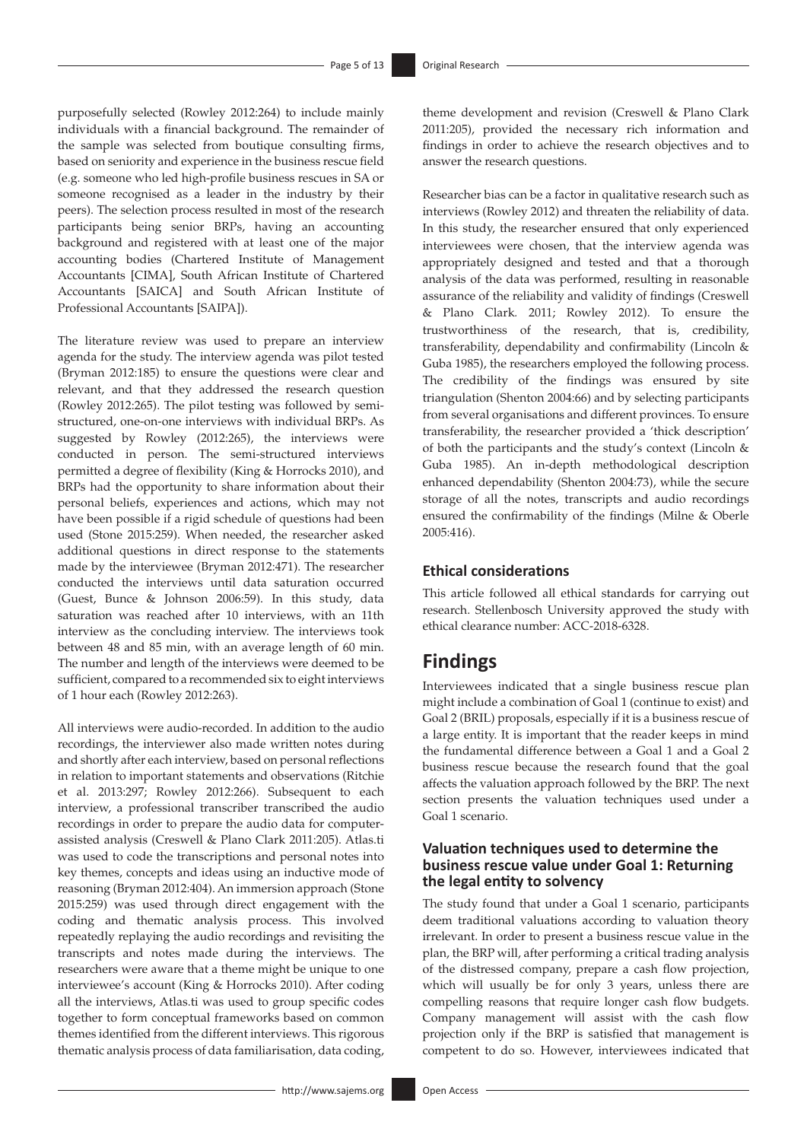purposefully selected (Rowley 2012:264) to include mainly individuals with a financial background. The remainder of the sample was selected from boutique consulting firms, based on seniority and experience in the business rescue field (e.g. someone who led high-profile business rescues in SA or someone recognised as a leader in the industry by their peers). The selection process resulted in most of the research participants being senior BRPs, having an accounting background and registered with at least one of the major accounting bodies (Chartered Institute of Management Accountants [CIMA], South African Institute of Chartered Accountants [SAICA] and South African Institute of Professional Accountants [SAIPA]).

The literature review was used to prepare an interview agenda for the study. The interview agenda was pilot tested (Bryman 2012:185) to ensure the questions were clear and relevant, and that they addressed the research question (Rowley 2012:265). The pilot testing was followed by semistructured, one-on-one interviews with individual BRPs. As suggested by Rowley (2012:265), the interviews were conducted in person. The semi-structured interviews permitted a degree of flexibility (King & Horrocks 2010), and BRPs had the opportunity to share information about their personal beliefs, experiences and actions, which may not have been possible if a rigid schedule of questions had been used (Stone 2015:259). When needed, the researcher asked additional questions in direct response to the statements made by the interviewee (Bryman 2012:471). The researcher conducted the interviews until data saturation occurred (Guest, Bunce & Johnson 2006:59). In this study, data saturation was reached after 10 interviews, with an 11th interview as the concluding interview. The interviews took between 48 and 85 min, with an average length of 60 min. The number and length of the interviews were deemed to be sufficient, compared to a recommended six to eight interviews of 1 hour each (Rowley 2012:263).

All interviews were audio-recorded. In addition to the audio recordings, the interviewer also made written notes during and shortly after each interview, based on personal reflections in relation to important statements and observations (Ritchie et al. 2013:297; Rowley 2012:266). Subsequent to each interview, a professional transcriber transcribed the audio recordings in order to prepare the audio data for computerassisted analysis (Creswell & Plano Clark 2011:205). [Atlas.ti](http://Atlas.ti) was used to code the transcriptions and personal notes into key themes, concepts and ideas using an inductive mode of reasoning (Bryman 2012:404). An immersion approach (Stone 2015:259) was used through direct engagement with the coding and thematic analysis process. This involved repeatedly replaying the audio recordings and revisiting the transcripts and notes made during the interviews. The researchers were aware that a theme might be unique to one interviewee's account (King & Horrocks 2010). After coding all the interviews, [Atlas.ti](http://Atlas.ti) was used to group specific codes together to form conceptual frameworks based on common themes identified from the different interviews. This rigorous thematic analysis process of data familiarisation, data coding,

theme development and revision (Creswell & Plano Clark 2011:205), provided the necessary rich information and findings in order to achieve the research objectives and to answer the research questions.

Researcher bias can be a factor in qualitative research such as interviews (Rowley 2012) and threaten the reliability of data. In this study, the researcher ensured that only experienced interviewees were chosen, that the interview agenda was appropriately designed and tested and that a thorough analysis of the data was performed, resulting in reasonable assurance of the reliability and validity of findings (Creswell & Plano Clark*.* 2011; Rowley 2012). To ensure the trustworthiness of the research, that is, credibility, transferability, dependability and confirmability (Lincoln & Guba 1985), the researchers employed the following process. The credibility of the findings was ensured by site triangulation (Shenton 2004:66) and by selecting participants from several organisations and different provinces. To ensure transferability, the researcher provided a 'thick description' of both the participants and the study's context (Lincoln & Guba 1985). An in-depth methodological description enhanced dependability (Shenton 2004:73), while the secure storage of all the notes, transcripts and audio recordings ensured the confirmability of the findings (Milne & Oberle 2005:416).

### **Ethical considerations**

This article followed all ethical standards for carrying out research. Stellenbosch University approved the study with ethical clearance number: ACC-2018-6328.

# **Findings**

Interviewees indicated that a single business rescue plan might include a combination of Goal 1 (continue to exist) and Goal 2 (BRIL) proposals, especially if it is a business rescue of a large entity. It is important that the reader keeps in mind the fundamental difference between a Goal 1 and a Goal 2 business rescue because the research found that the goal affects the valuation approach followed by the BRP. The next section presents the valuation techniques used under a Goal 1 scenario.

### **Valuation techniques used to determine the business rescue value under Goal 1: Returning the legal entity to solvency**

The study found that under a Goal 1 scenario, participants deem traditional valuations according to valuation theory irrelevant. In order to present a business rescue value in the plan, the BRP will, after performing a critical trading analysis of the distressed company, prepare a cash flow projection, which will usually be for only 3 years, unless there are compelling reasons that require longer cash flow budgets. Company management will assist with the cash flow projection only if the BRP is satisfied that management is competent to do so. However, interviewees indicated that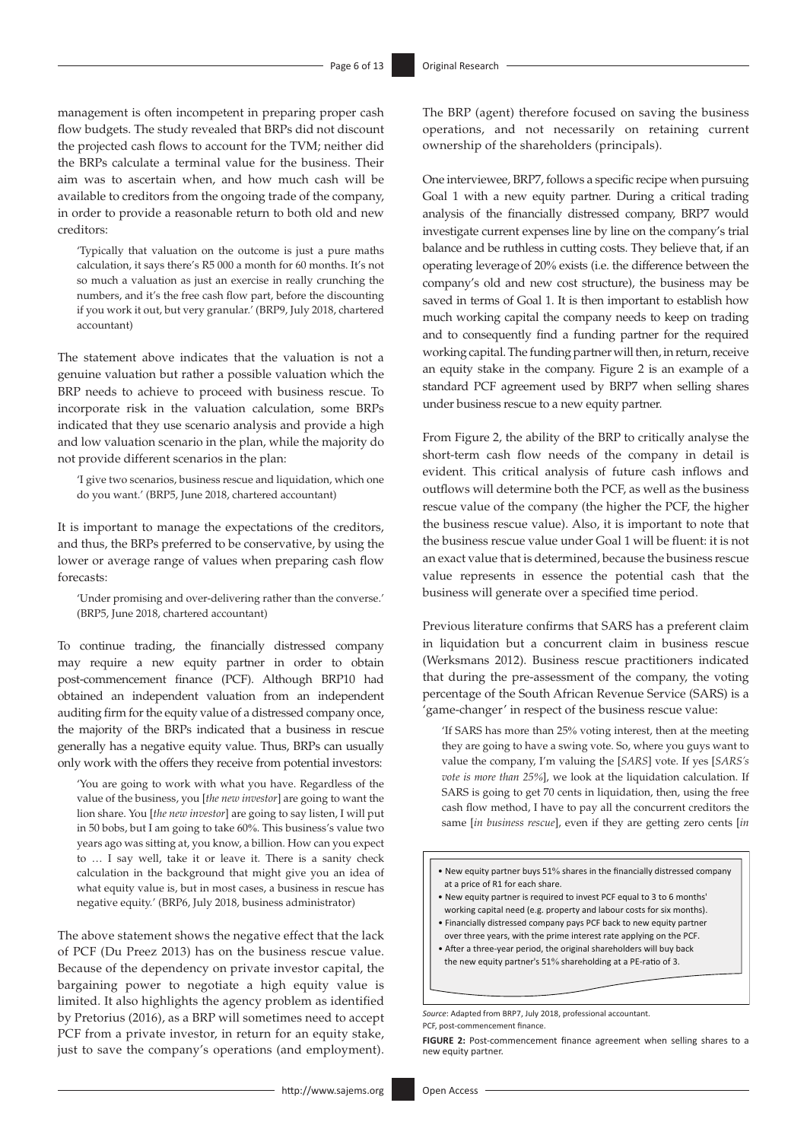management is often incompetent in preparing proper cash flow budgets. The study revealed that BRPs did not discount the projected cash flows to account for the TVM; neither did the BRPs calculate a terminal value for the business. Their aim was to ascertain when, and how much cash will be available to creditors from the ongoing trade of the company, in order to provide a reasonable return to both old and new creditors:

'Typically that valuation on the outcome is just a pure maths calculation, it says there's R5 000 a month for 60 months. It's not so much a valuation as just an exercise in really crunching the numbers, and it's the free cash flow part, before the discounting if you work it out, but very granular.' (BRP9, July 2018, chartered accountant)

The statement above indicates that the valuation is not a genuine valuation but rather a possible valuation which the BRP needs to achieve to proceed with business rescue. To incorporate risk in the valuation calculation, some BRPs indicated that they use scenario analysis and provide a high and low valuation scenario in the plan, while the majority do not provide different scenarios in the plan:

'I give two scenarios, business rescue and liquidation, which one do you want.' (BRP5, June 2018, chartered accountant)

It is important to manage the expectations of the creditors, and thus, the BRPs preferred to be conservative, by using the lower or average range of values when preparing cash flow forecasts:

'Under promising and over-delivering rather than the converse.' (BRP5, June 2018, chartered accountant)

To continue trading, the financially distressed company may require a new equity partner in order to obtain post-commencement finance (PCF). Although BRP10 had obtained an independent valuation from an independent auditing firm for the equity value of a distressed company once, the majority of the BRPs indicated that a business in rescue generally has a negative equity value. Thus, BRPs can usually only work with the offers they receive from potential investors:

'You are going to work with what you have. Regardless of the value of the business, you [*the new investor*] are going to want the lion share. You [*the new investor*] are going to say listen, I will put in 50 bobs, but I am going to take 60%. This business's value two years ago was sitting at, you know, a billion. How can you expect to … I say well, take it or leave it. There is a sanity check calculation in the background that might give you an idea of what equity value is, but in most cases, a business in rescue has negative equity.' (BRP6, July 2018, business administrator)

The above statement shows the negative effect that the lack of PCF (Du Preez 2013) has on the business rescue value. Because of the dependency on private investor capital, the bargaining power to negotiate a high equity value is limited. It also highlights the agency problem as identified by Pretorius (2016), as a BRP will sometimes need to accept PCF from a private investor, in return for an equity stake, just to save the company's operations (and employment).

The BRP (agent) therefore focused on saving the business operations, and not necessarily on retaining current ownership of the shareholders (principals).

One interviewee, BRP7, follows a specific recipe when pursuing Goal 1 with a new equity partner. During a critical trading analysis of the financially distressed company, BRP7 would investigate current expenses line by line on the company's trial balance and be ruthless in cutting costs. They believe that, if an operating leverageof 20% exists (i.e. the difference between the company's old and new cost structure), the business may be saved in terms of Goal 1. It is then important to establish how much working capital the company needs to keep on trading and to consequently find a funding partner for the required working capital. The funding partner will then, in return, receive an equity stake in the company. Figure 2 is an example of a standard PCF agreement used by BRP7 when selling shares under business rescue to a new equity partner.

From Figure 2, the ability of the BRP to critically analyse the short-term cash flow needs of the company in detail is evident. This critical analysis of future cash inflows and outflows will determine both the PCF, as well as the business rescue value of the company (the higher the PCF, the higher the business rescue value). Also, it is important to note that the business rescue value under Goal 1 will be fluent: it is not an exact value that is determined, because the business rescue value represents in essence the potential cash that the business will generate over a specified time period.

Previous literature confirms that SARS has a preferent claim in liquidation but a concurrent claim in business rescue (Werksmans 2012). Business rescue practitioners indicated that during the pre-assessment of the company, the voting percentage of the South African Revenue Service (SARS) is a 'game-changer' in respect of the business rescue value:

'If SARS has more than 25% voting interest, then at the meeting they are going to have a swing vote. So, where you guys want to value the company, I'm valuing the [*SARS*] vote. If yes [*SARS's vote is more than 25%*], we look at the liquidation calculation. If SARS is going to get 70 cents in liquidation, then, using the free cash flow method, I have to pay all the concurrent creditors the same [*in business rescue*], even if they are getting zero cents [*in* 

- New equity partner buys 51% shares in the financially distressed company at a price of R1 for each share.
- New equity partner is required to invest PCF equal to 3 to 6 months' working capital need (e.g. property and labour costs for six months).
- Financially distressed company pays PCF back to new equity partner over three years, with the prime interest rate applying on the PCF.
- After a three-year period, the original shareholders will buy back the new equity partner's  $51\%$  shareholding at a PE-ratio of 3.

*Source*: Adapted from BRP7, July 2018, professional accountant. PCF, post-commencement finance

FIGURE 2: Post-commencement finance agreement when selling shares to a new equity partner.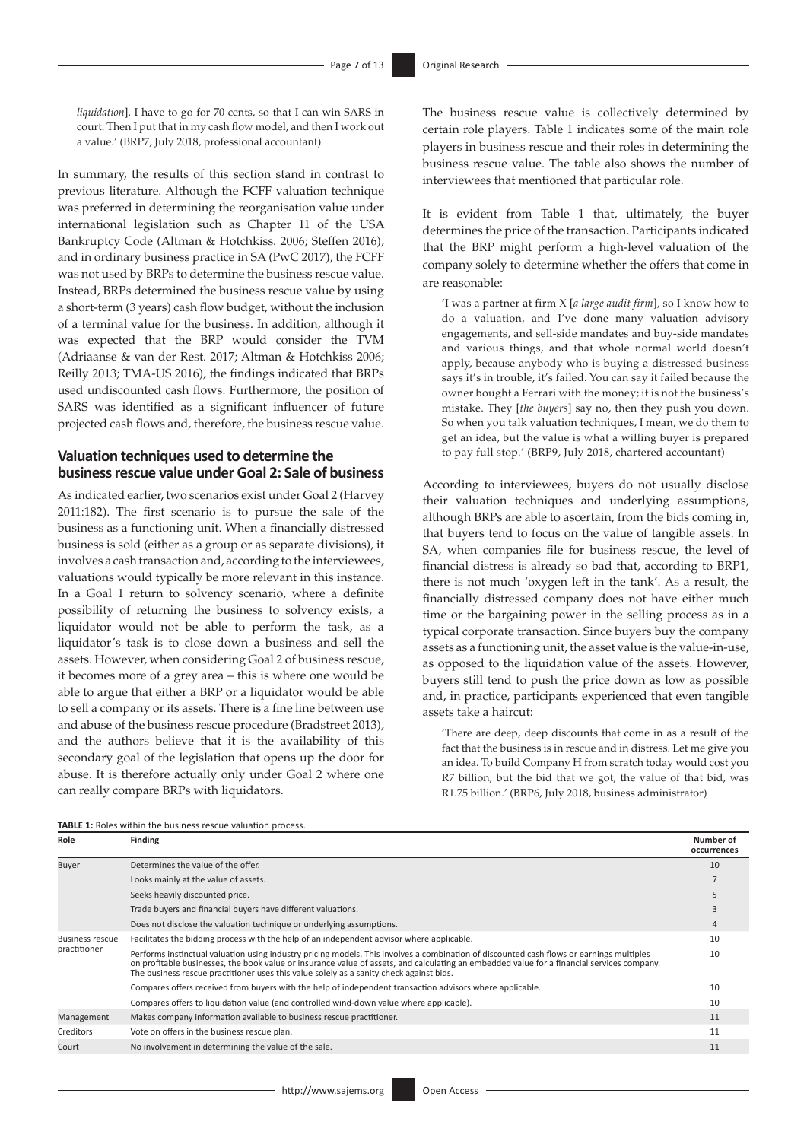*liquidation*]. I have to go for 70 cents, so that I can win SARS in court. Then I put that in my cash flow model, and then I work out a value.' (BRP7, July 2018, professional accountant)

In summary, the results of this section stand in contrast to previous literature. Although the FCFF valuation technique was preferred in determining the reorganisation value under international legislation such as Chapter 11 of the USA Bankruptcy Code (Altman & Hotchkiss*.* 2006; Steffen 2016), and in ordinary business practice in SA (PwC 2017), the FCFF was not used by BRPs to determine the business rescue value. Instead, BRPs determined the business rescue value by using a short-term (3 years) cash flow budget, without the inclusion of a terminal value for the business. In addition, although it was expected that the BRP would consider the TVM (Adriaanse & van der Rest*.* 2017; Altman & Hotchkiss 2006; Reilly 2013; TMA-US 2016), the findings indicated that BRPs used undiscounted cash flows. Furthermore, the position of SARS was identified as a significant influencer of future projected cash flows and, therefore, the business rescue value.

### **Valuation techniques used to determine the business rescue value under Goal 2: Sale of business**

As indicated earlier, two scenarios exist under Goal 2 (Harvey 2011:182). The first scenario is to pursue the sale of the business as a functioning unit. When a financially distressed business is sold (either as a group or as separate divisions), it involves a cash transaction and, according to the interviewees, valuations would typically be more relevant in this instance. In a Goal 1 return to solvency scenario, where a definite possibility of returning the business to solvency exists, a liquidator would not be able to perform the task, as a liquidator's task is to close down a business and sell the assets. However, when considering Goal 2 of business rescue, it becomes more of a grey area – this is where one would be able to argue that either a BRP or a liquidator would be able to sell a company or its assets. There is a fine line between use and abuse of the business rescue procedure (Bradstreet 2013), and the authors believe that it is the availability of this secondary goal of the legislation that opens up the door for abuse. It is therefore actually only under Goal 2 where one can really compare BRPs with liquidators.

The business rescue value is collectively determined by certain role players. Table 1 indicates some of the main role players in business rescue and their roles in determining the business rescue value. The table also shows the number of interviewees that mentioned that particular role.

It is evident from Table 1 that, ultimately, the buyer determines the price of the transaction. Participants indicated that the BRP might perform a high-level valuation of the company solely to determine whether the offers that come in are reasonable:

'I was a partner at firm X [*a large audit firm*], so I know how to do a valuation, and I've done many valuation advisory engagements, and sell-side mandates and buy-side mandates and various things, and that whole normal world doesn't apply, because anybody who is buying a distressed business says it's in trouble, it's failed. You can say it failed because the owner bought a Ferrari with the money; it is not the business's mistake. They [*the buyers*] say no, then they push you down. So when you talk valuation techniques, I mean, we do them to get an idea, but the value is what a willing buyer is prepared to pay full stop.' (BRP9, July 2018, chartered accountant)

According to interviewees, buyers do not usually disclose their valuation techniques and underlying assumptions, although BRPs are able to ascertain, from the bids coming in, that buyers tend to focus on the value of tangible assets. In SA, when companies file for business rescue, the level of financial distress is already so bad that, according to BRP1, there is not much 'oxygen left in the tank'. As a result, the financially distressed company does not have either much time or the bargaining power in the selling process as in a typical corporate transaction. Since buyers buy the company assets as a functioning unit, the asset value is the value-in-use, as opposed to the liquidation value of the assets. However, buyers still tend to push the price down as low as possible and, in practice, participants experienced that even tangible assets take a haircut:

'There are deep, deep discounts that come in as a result of the fact that the business is in rescue and in distress. Let me give you an idea. To build Company H from scratch today would cost you R7 billion, but the bid that we got, the value of that bid, was R1.75 billion.' (BRP6, July 2018, business administrator)

| Role                                   | <b>Finding</b>                                                                                                                                                                                                                                                                                                                                                                    | Number of<br>occurrences |
|----------------------------------------|-----------------------------------------------------------------------------------------------------------------------------------------------------------------------------------------------------------------------------------------------------------------------------------------------------------------------------------------------------------------------------------|--------------------------|
| Buyer                                  | Determines the value of the offer.                                                                                                                                                                                                                                                                                                                                                | 10                       |
|                                        | Looks mainly at the value of assets.                                                                                                                                                                                                                                                                                                                                              |                          |
|                                        | Seeks heavily discounted price.                                                                                                                                                                                                                                                                                                                                                   |                          |
|                                        | Trade buyers and financial buyers have different valuations.                                                                                                                                                                                                                                                                                                                      |                          |
|                                        | Does not disclose the valuation technique or underlying assumptions.                                                                                                                                                                                                                                                                                                              | 4                        |
| <b>Business rescue</b><br>practitioner | Facilitates the bidding process with the help of an independent advisor where applicable.                                                                                                                                                                                                                                                                                         | 10                       |
|                                        | Performs instinctual valuation using industry pricing models. This involves a combination of discounted cash flows or earnings multiples<br>on profitable businesses, the book value or insurance value of assets, and calculating an embedded value for a financial services company.<br>The business rescue practitioner uses this value solely as a sanity check against bids. | 10                       |
|                                        | Compares offers received from buyers with the help of independent transaction advisors where applicable.                                                                                                                                                                                                                                                                          | 10                       |
|                                        | Compares offers to liquidation value (and controlled wind-down value where applicable).                                                                                                                                                                                                                                                                                           | 10                       |
| Management                             | Makes company information available to business rescue practitioner.                                                                                                                                                                                                                                                                                                              | 11                       |
| Creditors                              | Vote on offers in the business rescue plan.                                                                                                                                                                                                                                                                                                                                       | 11                       |
| Court                                  | No involvement in determining the value of the sale.                                                                                                                                                                                                                                                                                                                              | 11                       |

**TABLE 1:** Roles within the business rescue valuation process.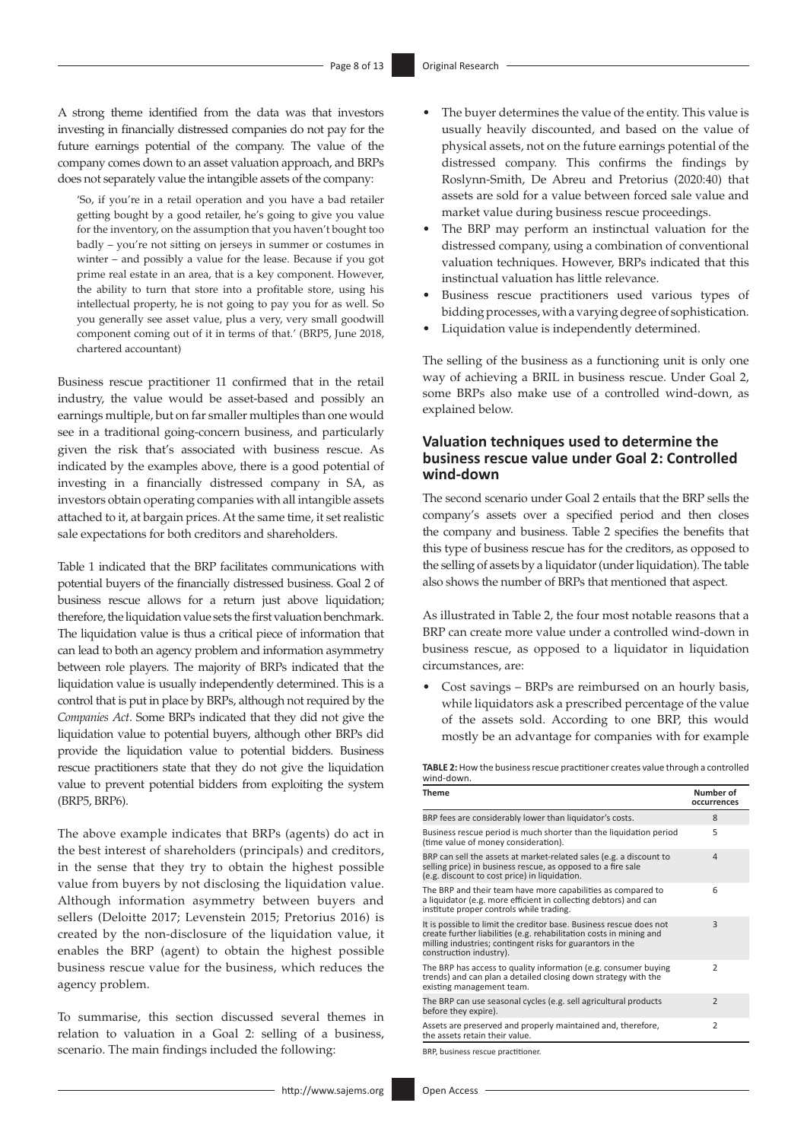A strong theme identified from the data was that investors investing in financially distressed companies do not pay for the future earnings potential of the company. The value of the company comes down to an asset valuation approach, and BRPs does not separately value the intangible assets of the company:

'So, if you're in a retail operation and you have a bad retailer getting bought by a good retailer, he's going to give you value for the inventory, on the assumption that you haven't bought too badly – you're not sitting on jerseys in summer or costumes in winter – and possibly a value for the lease. Because if you got prime real estate in an area, that is a key component. However, the ability to turn that store into a profitable store, using his intellectual property, he is not going to pay you for as well. So you generally see asset value, plus a very, very small goodwill component coming out of it in terms of that.' (BRP5, June 2018, chartered accountant)

Business rescue practitioner 11 confirmed that in the retail industry, the value would be asset-based and possibly an earnings multiple, but on far smaller multiples than one would see in a traditional going-concern business, and particularly given the risk that's associated with business rescue. As indicated by the examples above, there is a good potential of investing in a financially distressed company in SA, as investors obtain operating companies with all intangible assets attached to it, at bargain prices. At the same time, it set realistic sale expectations for both creditors and shareholders.

Table 1 indicated that the BRP facilitates communications with potential buyers of the financially distressed business. Goal 2 of business rescue allows for a return just above liquidation; therefore, the liquidation value sets the first valuation benchmark. The liquidation value is thus a critical piece of information that can lead to both an agency problem and information asymmetry between role players. The majority of BRPs indicated that the liquidation value is usually independently determined. This is a control that is put in place by BRPs, although not required by the *Companies Act*. Some BRPs indicated that they did not give the liquidation value to potential buyers, although other BRPs did provide the liquidation value to potential bidders. Business rescue practitioners state that they do not give the liquidation value to prevent potential bidders from exploiting the system (BRP5, BRP6).

The above example indicates that BRPs (agents) do act in the best interest of shareholders (principals) and creditors, in the sense that they try to obtain the highest possible value from buyers by not disclosing the liquidation value. Although information asymmetry between buyers and sellers (Deloitte 2017; Levenstein 2015; Pretorius 2016) is created by the non-disclosure of the liquidation value, it enables the BRP (agent) to obtain the highest possible business rescue value for the business, which reduces the agency problem.

To summarise, this section discussed several themes in relation to valuation in a Goal 2: selling of a business, scenario. The main findings included the following:

- The buyer determines the value of the entity. This value is usually heavily discounted, and based on the value of physical assets, not on the future earnings potential of the distressed company. This confirms the findings by Roslynn-Smith, De Abreu and Pretorius (2020:40) that assets are sold for a value between forced sale value and market value during business rescue proceedings.
- The BRP may perform an instinctual valuation for the distressed company, using a combination of conventional valuation techniques. However, BRPs indicated that this instinctual valuation has little relevance.
- Business rescue practitioners used various types of bidding processes, with a varying degree of sophistication.
- Liquidation value is independently determined.

The selling of the business as a functioning unit is only one way of achieving a BRIL in business rescue. Under Goal 2, some BRPs also make use of a controlled wind-down, as explained below.

### **Valuation techniques used to determine the business rescue value under Goal 2: Controlled wind-down**

The second scenario under Goal 2 entails that the BRP sells the company's assets over a specified period and then closes the company and business. Table 2 specifies the benefits that this type of business rescue has for the creditors, as opposed to the selling of assets by a liquidator (under liquidation). The table also shows the number of BRPs that mentioned that aspect.

As illustrated in Table 2, the four most notable reasons that a BRP can create more value under a controlled wind-down in business rescue, as opposed to a liquidator in liquidation circumstances, are:

• Cost savings – BRPs are reimbursed on an hourly basis, while liquidators ask a prescribed percentage of the value of the assets sold. According to one BRP, this would mostly be an advantage for companies with for example

**TABLE 2:** How the business rescue practitioner creates value through a controlled wind-down.

| <b>Theme</b>                                                                                                                                                                                                                        | Number of<br>occurrences |
|-------------------------------------------------------------------------------------------------------------------------------------------------------------------------------------------------------------------------------------|--------------------------|
| BRP fees are considerably lower than liquidator's costs.                                                                                                                                                                            | 8                        |
| Business rescue period is much shorter than the liquidation period<br>(time value of money consideration).                                                                                                                          | 5                        |
| BRP can sell the assets at market-related sales (e.g. a discount to<br>selling price) in business rescue, as opposed to a fire sale<br>(e.g. discount to cost price) in liquidation.                                                | $\Delta$                 |
| The BRP and their team have more capabilities as compared to<br>a liquidator (e.g. more efficient in collecting debtors) and can<br>institute proper controls while trading.                                                        | 6                        |
| It is possible to limit the creditor base. Business rescue does not<br>create further liabilities (e.g. rehabilitation costs in mining and<br>milling industries; contingent risks for guarantors in the<br>construction industry). | 3                        |
| The BRP has access to quality information (e.g. consumer buying<br>trends) and can plan a detailed closing down strategy with the<br>existing management team.                                                                      | $\mathcal{P}$            |
| The BRP can use seasonal cycles (e.g. sell agricultural products<br>before they expire).                                                                                                                                            | $\overline{2}$           |
| Assets are preserved and properly maintained and, therefore,<br>the assets retain their value.                                                                                                                                      | $\overline{2}$           |
|                                                                                                                                                                                                                                     |                          |

BRP, business rescue practitioner.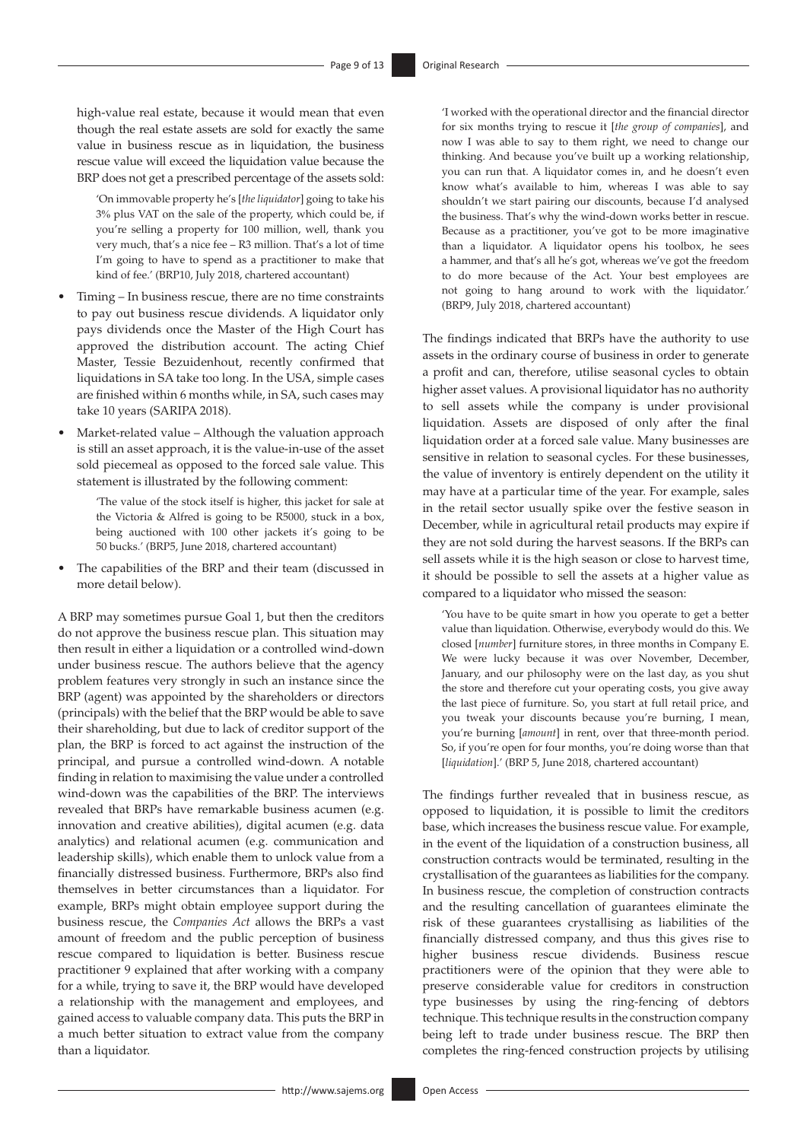high-value real estate, because it would mean that even though the real estate assets are sold for exactly the same value in business rescue as in liquidation, the business rescue value will exceed the liquidation value because the BRP does not get a prescribed percentage of the assets sold:

'On immovable property he's [*the liquidator*] going to take his 3% plus VAT on the sale of the property, which could be, if you're selling a property for 100 million, well, thank you very much, that's a nice fee – R3 million. That's a lot of time I'm going to have to spend as a practitioner to make that kind of fee.' (BRP10, July 2018, chartered accountant)

- Timing In business rescue, there are no time constraints to pay out business rescue dividends. A liquidator only pays dividends once the Master of the High Court has approved the distribution account. The acting Chief Master, Tessie Bezuidenhout, recently confirmed that liquidations in SA take too long. In the USA, simple cases are finished within 6 months while, in SA, such cases may take 10 years (SARIPA 2018).
- Market-related value Although the valuation approach is still an asset approach, it is the value-in-use of the asset sold piecemeal as opposed to the forced sale value. This statement is illustrated by the following comment:

'The value of the stock itself is higher, this jacket for sale at the Victoria & Alfred is going to be R5000, stuck in a box, being auctioned with 100 other jackets it's going to be 50 bucks.' (BRP5, June 2018, chartered accountant)

• The capabilities of the BRP and their team (discussed in more detail below).

A BRP may sometimes pursue Goal 1, but then the creditors do not approve the business rescue plan. This situation may then result in either a liquidation or a controlled wind-down under business rescue. The authors believe that the agency problem features very strongly in such an instance since the BRP (agent) was appointed by the shareholders or directors (principals) with the belief that the BRP would be able to save their shareholding, but due to lack of creditor support of the plan, the BRP is forced to act against the instruction of the principal, and pursue a controlled wind-down. A notable finding in relation to maximising the value under a controlled wind-down was the capabilities of the BRP. The interviews revealed that BRPs have remarkable business acumen (e.g. innovation and creative abilities), digital acumen (e.g. data analytics) and relational acumen (e.g. communication and leadership skills), which enable them to unlock value from a financially distressed business. Furthermore, BRPs also find themselves in better circumstances than a liquidator. For example, BRPs might obtain employee support during the business rescue, the *Companies Act* allows the BRPs a vast amount of freedom and the public perception of business rescue compared to liquidation is better. Business rescue practitioner 9 explained that after working with a company for a while, trying to save it, the BRP would have developed a relationship with the management and employees, and gained access to valuable company data. This puts the BRP in a much better situation to extract value from the company than a liquidator.

'I worked with the operational director and the financial director for six months trying to rescue it [*the group of companies*], and now I was able to say to them right, we need to change our thinking. And because you've built up a working relationship, you can run that. A liquidator comes in, and he doesn't even know what's available to him, whereas I was able to say shouldn't we start pairing our discounts, because I'd analysed the business. That's why the wind-down works better in rescue. Because as a practitioner, you've got to be more imaginative than a liquidator. A liquidator opens his toolbox, he sees a hammer, and that's all he's got, whereas we've got the freedom to do more because of the Act. Your best employees are not going to hang around to work with the liquidator.' (BRP9, July 2018, chartered accountant)

The findings indicated that BRPs have the authority to use assets in the ordinary course of business in order to generate a profit and can, therefore, utilise seasonal cycles to obtain higher asset values. A provisional liquidator has no authority to sell assets while the company is under provisional liquidation. Assets are disposed of only after the final liquidation order at a forced sale value. Many businesses are sensitive in relation to seasonal cycles. For these businesses, the value of inventory is entirely dependent on the utility it may have at a particular time of the year. For example, sales in the retail sector usually spike over the festive season in December, while in agricultural retail products may expire if they are not sold during the harvest seasons. If the BRPs can sell assets while it is the high season or close to harvest time, it should be possible to sell the assets at a higher value as compared to a liquidator who missed the season:

'You have to be quite smart in how you operate to get a better value than liquidation. Otherwise, everybody would do this. We closed [*number*] furniture stores, in three months in Company E. We were lucky because it was over November, December, January, and our philosophy were on the last day, as you shut the store and therefore cut your operating costs, you give away the last piece of furniture. So, you start at full retail price, and you tweak your discounts because you're burning, I mean, you're burning [*amount*] in rent, over that three-month period. So, if you're open for four months, you're doing worse than that [*liquidation*].' (BRP 5, June 2018, chartered accountant)

The findings further revealed that in business rescue, as opposed to liquidation, it is possible to limit the creditors base, which increases the business rescue value. For example, in the event of the liquidation of a construction business, all construction contracts would be terminated, resulting in the crystallisation of the guarantees as liabilities for the company. In business rescue, the completion of construction contracts and the resulting cancellation of guarantees eliminate the risk of these guarantees crystallising as liabilities of the financially distressed company, and thus this gives rise to higher business rescue dividends. Business rescue practitioners were of the opinion that they were able to preserve considerable value for creditors in construction type businesses by using the ring-fencing of debtors technique. This technique results in the construction company being left to trade under business rescue. The BRP then completes the ring-fenced construction projects by utilising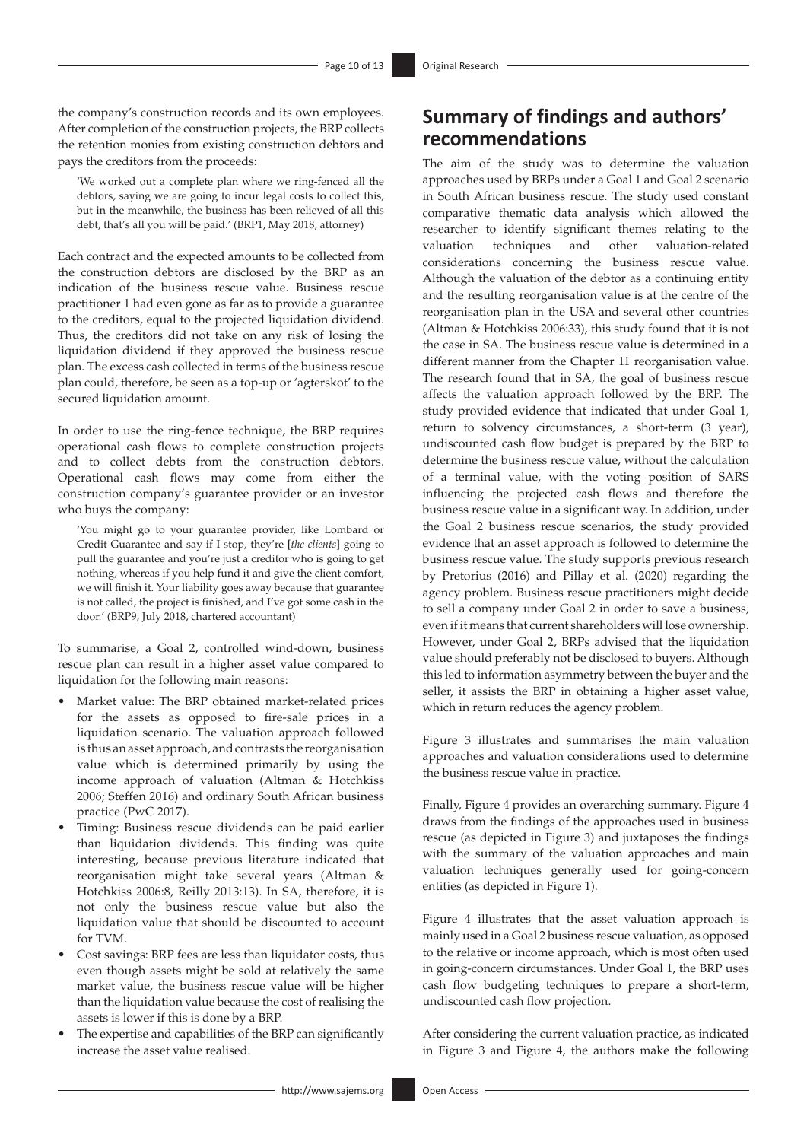the company's construction records and its own employees. After completion of the construction projects, the BRP collects the retention monies from existing construction debtors and pays the creditors from the proceeds:

'We worked out a complete plan where we ring-fenced all the debtors, saying we are going to incur legal costs to collect this, but in the meanwhile, the business has been relieved of all this debt, that's all you will be paid.' (BRP1, May 2018, attorney)

Each contract and the expected amounts to be collected from the construction debtors are disclosed by the BRP as an indication of the business rescue value. Business rescue practitioner 1 had even gone as far as to provide a guarantee to the creditors, equal to the projected liquidation dividend. Thus, the creditors did not take on any risk of losing the liquidation dividend if they approved the business rescue plan. The excess cash collected in terms of the business rescue plan could, therefore, be seen as a top-up or 'agterskot' to the secured liquidation amount.

In order to use the ring-fence technique, the BRP requires operational cash flows to complete construction projects and to collect debts from the construction debtors. Operational cash flows may come from either the construction company's guarantee provider or an investor who buys the company:

'You might go to your guarantee provider, like Lombard or Credit Guarantee and say if I stop, they're [*the clients*] going to pull the guarantee and you're just a creditor who is going to get nothing, whereas if you help fund it and give the client comfort, we will finish it. Your liability goes away because that guarantee is not called, the project is finished, and I've got some cash in the door.' (BRP9, July 2018, chartered accountant)

To summarise, a Goal 2, controlled wind-down, business rescue plan can result in a higher asset value compared to liquidation for the following main reasons:

- Market value: The BRP obtained market-related prices for the assets as opposed to fire-sale prices in a liquidation scenario. The valuation approach followed is thus an asset approach, and contrasts the reorganisation value which is determined primarily by using the income approach of valuation (Altman & Hotchkiss 2006; Steffen 2016) and ordinary South African business practice (PwC 2017).
- Timing: Business rescue dividends can be paid earlier than liquidation dividends. This finding was quite interesting, because previous literature indicated that reorganisation might take several years (Altman & Hotchkiss 2006:8, Reilly 2013:13). In SA, therefore, it is not only the business rescue value but also the liquidation value that should be discounted to account for TVM.
- Cost savings: BRP fees are less than liquidator costs, thus even though assets might be sold at relatively the same market value, the business rescue value will be higher than the liquidation value because the cost of realising the assets is lower if this is done by a BRP.
- The expertise and capabilities of the BRP can significantly increase the asset value realised.

# **Summary of findings and authors' recommendations**

The aim of the study was to determine the valuation approaches used by BRPs under a Goal 1 and Goal 2 scenario in South African business rescue. The study used constant comparative thematic data analysis which allowed the researcher to identify significant themes relating to the valuation techniques and other valuation-related considerations concerning the business rescue value. Although the valuation of the debtor as a continuing entity and the resulting reorganisation value is at the centre of the reorganisation plan in the USA and several other countries (Altman & Hotchkiss 2006:33), this study found that it is not the case in SA. The business rescue value is determined in a different manner from the Chapter 11 reorganisation value. The research found that in SA, the goal of business rescue affects the valuation approach followed by the BRP. The study provided evidence that indicated that under Goal 1, return to solvency circumstances, a short-term (3 year), undiscounted cash flow budget is prepared by the BRP to determine the business rescue value, without the calculation of a terminal value, with the voting position of SARS influencing the projected cash flows and therefore the business rescue value in a significant way. In addition, under the Goal 2 business rescue scenarios, the study provided evidence that an asset approach is followed to determine the business rescue value. The study supports previous research by Pretorius (2016) and Pillay et al*.* (2020) regarding the agency problem. Business rescue practitioners might decide to sell a company under Goal 2 in order to save a business, even if it means that current shareholders will lose ownership. However, under Goal 2, BRPs advised that the liquidation value should preferably not be disclosed to buyers. Although this led to information asymmetry between the buyer and the seller, it assists the BRP in obtaining a higher asset value, which in return reduces the agency problem.

Figure 3 illustrates and summarises the main valuation approaches and valuation considerations used to determine the business rescue value in practice.

Finally, Figure 4 provides an overarching summary. Figure 4 draws from the findings of the approaches used in business rescue (as depicted in Figure 3) and juxtaposes the findings with the summary of the valuation approaches and main valuation techniques generally used for going-concern entities (as depicted in Figure 1).

Figure 4 illustrates that the asset valuation approach is mainly used in a Goal 2 business rescue valuation, as opposed to the relative or income approach, which is most often used in going-concern circumstances. Under Goal 1, the BRP uses cash flow budgeting techniques to prepare a short-term, undiscounted cash flow projection.

After considering the current valuation practice, as indicated in Figure 3 and Figure 4, the authors make the following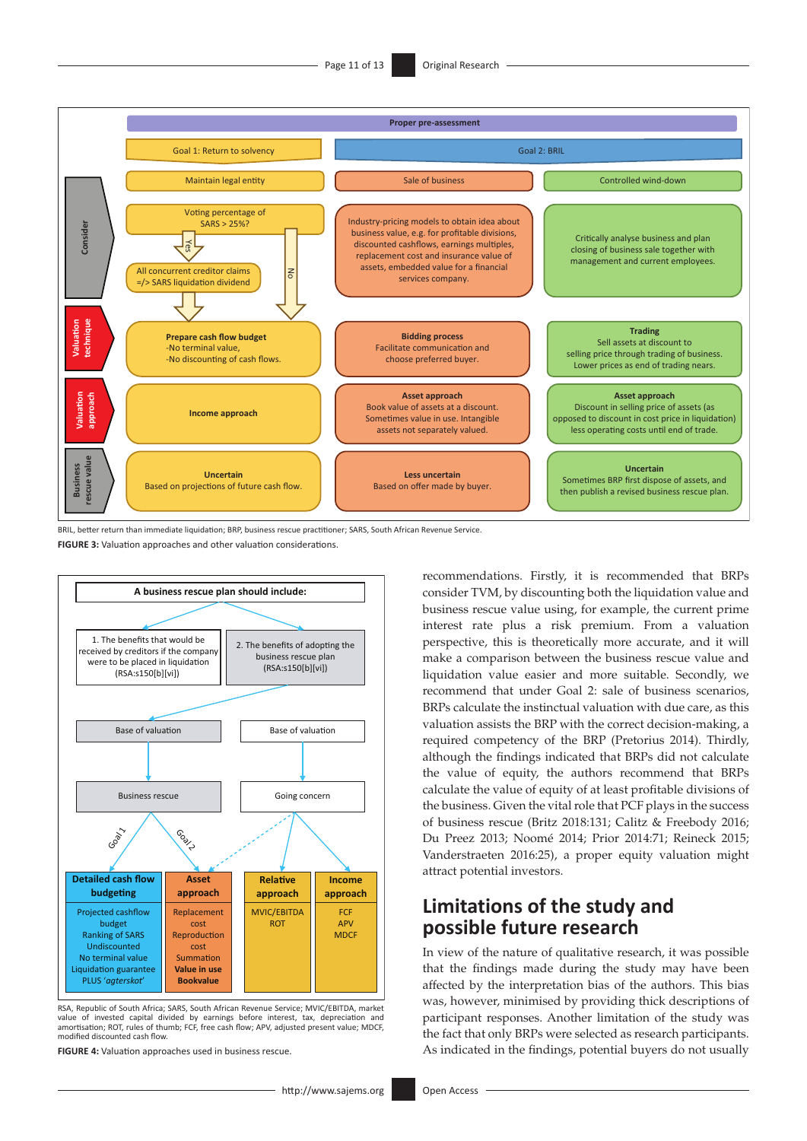

BRIL, better return than immediate liquidation; BRP, business rescue practitioner; SARS, South African Revenue Service.

**FIGURE 3:** Valuation approaches and other valuation considerations.



RSA, Republic of South Africa; SARS, South African Revenue Service; MVIC/EBITDA, market value of invested capital divided by earnings before interest, tax, depreciation and amortisation; ROT, rules of thumb; FCF, free cash flow; APV, adjusted present value; MDCF, modified discounted cash flow.

**FIGURE 4:** Valuation approaches used in business rescue.

recommendations. Firstly, it is recommended that BRPs consider TVM, by discounting both the liquidation value and business rescue value using, for example, the current prime interest rate plus a risk premium. From a valuation perspective, this is theoretically more accurate, and it will make a comparison between the business rescue value and liquidation value easier and more suitable. Secondly, we recommend that under Goal 2: sale of business scenarios, BRPs calculate the instinctual valuation with due care, as this valuation assists the BRP with the correct decision-making, a required competency of the BRP (Pretorius 2014). Thirdly, although the findings indicated that BRPs did not calculate the value of equity, the authors recommend that BRPs calculate the value of equity of at least profitable divisions of the business. Given the vital role that PCF plays in the success of business rescue (Britz 2018:131; Calitz & Freebody 2016; Du Preez 2013; Noomé 2014; Prior 2014:71; Reineck 2015; Vanderstraeten 2016:25), a proper equity valuation might attract potential investors.

# **Limitations of the study and possible future research**

In view of the nature of qualitative research, it was possible that the findings made during the study may have been affected by the interpretation bias of the authors. This bias was, however, minimised by providing thick descriptions of participant responses. Another limitation of the study was the fact that only BRPs were selected as research participants. As indicated in the findings, potential buyers do not usually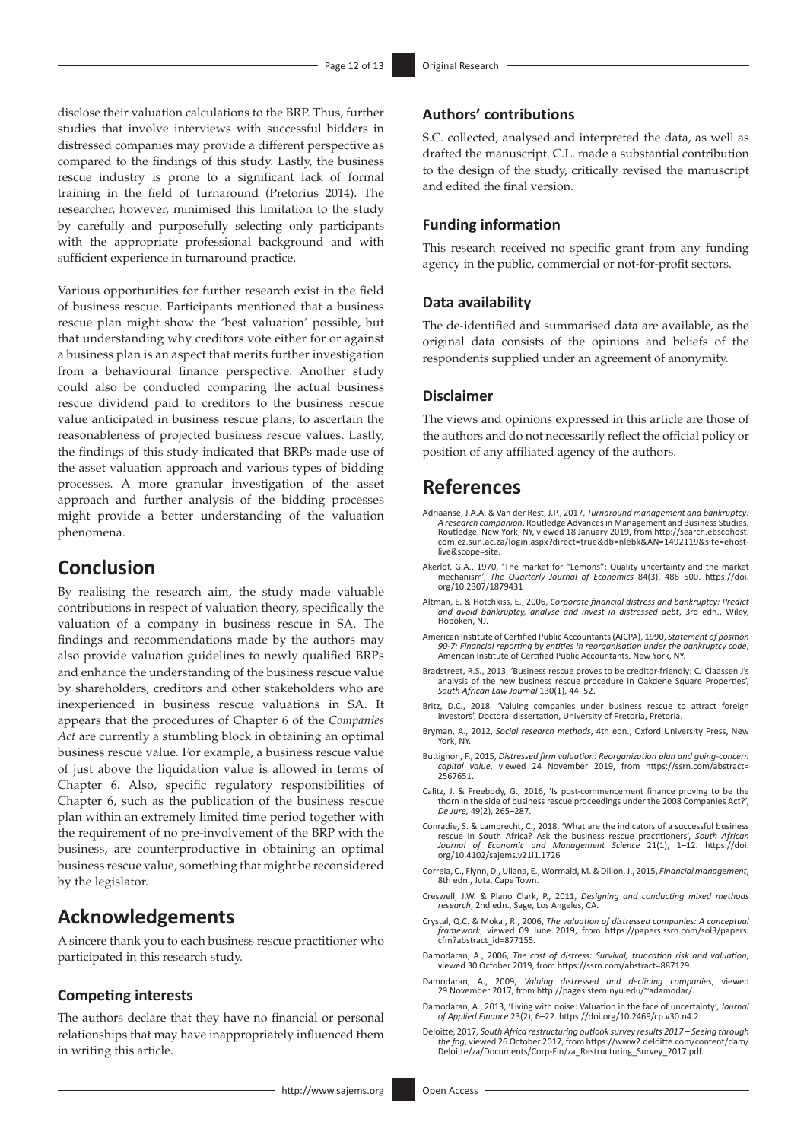disclose their valuation calculations to the BRP. Thus, further studies that involve interviews with successful bidders in distressed companies may provide a different perspective as compared to the findings of this study. Lastly, the business rescue industry is prone to a significant lack of formal training in the field of turnaround (Pretorius 2014). The researcher, however, minimised this limitation to the study by carefully and purposefully selecting only participants with the appropriate professional background and with sufficient experience in turnaround practice.

Various opportunities for further research exist in the field of business rescue. Participants mentioned that a business rescue plan might show the 'best valuation' possible, but that understanding why creditors vote either for or against a business plan is an aspect that merits further investigation from a behavioural finance perspective. Another study could also be conducted comparing the actual business rescue dividend paid to creditors to the business rescue value anticipated in business rescue plans, to ascertain the reasonableness of projected business rescue values. Lastly, the findings of this study indicated that BRPs made use of the asset valuation approach and various types of bidding processes. A more granular investigation of the asset approach and further analysis of the bidding processes might provide a better understanding of the valuation phenomena.

# **Conclusion**

By realising the research aim, the study made valuable contributions in respect of valuation theory, specifically the valuation of a company in business rescue in SA. The findings and recommendations made by the authors may also provide valuation guidelines to newly qualified BRPs and enhance the understanding of the business rescue value by shareholders, creditors and other stakeholders who are inexperienced in business rescue valuations in SA. It appears that the procedures of Chapter 6 of the *Companies Act* are currently a stumbling block in obtaining an optimal business rescue value*.* For example, a business rescue value of just above the liquidation value is allowed in terms of Chapter 6. Also, specific regulatory responsibilities of Chapter 6, such as the publication of the business rescue plan within an extremely limited time period together with the requirement of no pre-involvement of the BRP with the business, are counterproductive in obtaining an optimal business rescue value, something that might be reconsidered by the legislator.

# **Acknowledgements**

A sincere thank you to each business rescue practitioner who participated in this research study.

### **Competing interests**

The authors declare that they have no financial or personal relationships that may have inappropriately influenced them in writing this article.

### **Authors' contributions**

S.C. collected, analysed and interpreted the data, as well as drafted the manuscript. C.L. made a substantial contribution to the design of the study, critically revised the manuscript and edited the final version.

### **Funding information**

This research received no specific grant from any funding agency in the public, commercial or not-for-profit sectors.

### **Data availability**

The de-identified and summarised data are available, as the original data consists of the opinions and beliefs of the respondents supplied under an agreement of anonymity.

#### **Disclaimer**

The views and opinions expressed in this article are those of the authors and do not necessarily reflect the official policy or position of any affiliated agency of the authors.

# **References**

- Adriaanse, J.A.A. & Van der Rest, J.P., 2017, *Turnaround management and bankruptcy: A research companion*, Routledge Advances in Management and Business Studies, Routledge, New York, NY, viewed 18 January 2019, from [http://search.ebscohost.](http://search.ebscohost.com.ez.sun.ac.za/login.aspx?direct=true&db=nlebk&AN=1492119&site=ehost-live&scope=site) [com.ez.sun.ac.za/login.aspx?direct=true&db=nlebk&AN=1492119&site=ehost](http://search.ebscohost.com.ez.sun.ac.za/login.aspx?direct=true&db=nlebk&AN=1492119&site=ehost-live&scope=site)[live&scope=site.](http://search.ebscohost.com.ez.sun.ac.za/login.aspx?direct=true&db=nlebk&AN=1492119&site=ehost-live&scope=site)
- Akerlof, G.A., 1970, 'The market for "Lemons": Quality uncertainty and the market mechanism', *The Quarterly Journal of Economics* 84(3), 488–500. [https://doi.](https://doi.org/10.2307/1879431) [org/10.2307/1879431](https://doi.org/10.2307/1879431)
- Altman, E. & Hotchkiss, E., 2006, *Corporate financial distress and bankruptcy: Predict and avoid bankruptcy, analyse and invest in distressed debt*, 3rd edn., Wiley, Hoboken, NJ.
- American Institute of Certified Public Accountants (AICPA), 1990, *Statement of position 90-7: Financial reporting by entities in reorganisation under the bankruptcy code*, American Institute of Certified Public Accountants, New York, NY.
- Bradstreet, R.S., 2013, 'Business rescue proves to be creditor-friendly: CJ Claassen J's analysis of the new business rescue procedure in Oakdene Square Properties', *South African Law Journal* 130(1), 44–52.
- Britz, D.C., 2018, 'Valuing companies under business rescue to attract foreign investors', Doctoral dissertation, University of Pretoria, Pretoria.
- Bryman, A., 2012, *Social research methods*, 4th edn., Oxford University Press, New York, NY.
- Buttignon, F., 2015, *Distressed firm valuation: Reorganization plan and going-concern capital value*, viewed 24 November 2019, from [https://ssrn.com/abstract=](https://ssrn.com/abstract=2567651) [2567651.](https://ssrn.com/abstract=2567651)
- Calitz, J. & Freebody, G., 2016, 'Is post-commencement finance proving to be the thorn in the side of business rescue proceedings under the 2008 Companies Act?', *De Jure,* 49(2), 265–287.
- Conradie, S. & Lamprecht, C., 2018, 'What are the indicators of a successful business rescue in South Africa? Ask the business rescue practitioners', *South African Journal of Economic and Management Science* 21(1), 1–12. [https://doi.](https://doi.org/10.4102/sajems.v21i1.1726) [org/10.4102/sajems.v21i1.1726](https://doi.org/10.4102/sajems.v21i1.1726)
- Correia, C., Flynn, D., Uliana, E., Wormald, M. & Dillon, J., 2015, *Financial management*, 8th edn., Juta, Cape Town.
- Creswell, J.W. & Plano Clark, P., 2011, *Designing and conducting mixed methods research*, 2nd edn., Sage, Los Angeles, CA.
- Crystal, Q.C. & Mokal, R., 2006, *The valuation of distressed companies: A conceptual framework*, viewed 09 June 2019, from [https://papers.ssrn.com/sol3/papers.](https://papers.ssrn.com/sol3/papers.cfm?abstract_id=877155) [cfm?abstract\\_id=877155.](https://papers.ssrn.com/sol3/papers.cfm?abstract_id=877155)
- Damodaran, A., 2006, *The cost of distress: Survival, truncation risk and valuation*, viewed 30 October 2019, from [https://ssrn.com/abstract=887129.](https://ssrn.com/abstract=887129)
- Damodaran, A., 2009, *Valuing distressed and declining companies*, viewed 29 November 2017, from [http://pages.stern.nyu.edu/~adamodar/.](http://pages.stern.nyu.edu/~adamodar/)
- Damodaran, A., 2013, 'Living with noise: Valuation in the face of uncertainty', *Journal of Applied Finance* 23(2), 6–22. <https://doi.org/10.2469/cp.v30.n4.2>
- Deloitte, 2017, *South Africa restructuring outlook survey results 2017 Seeing through the fog*, viewed 26 October 2017, from [https://www2.deloitte.com/content/dam/](https://www2.deloitte.com/content/dam/Deloitte/za/Documents/Corp-Fin/za_Restructuring_Survey_2017.pdf) [Deloitte/za/Documents/Corp-Fin/za\\_Restructuring\\_Survey\\_2017.pdf](https://www2.deloitte.com/content/dam/Deloitte/za/Documents/Corp-Fin/za_Restructuring_Survey_2017.pdf).